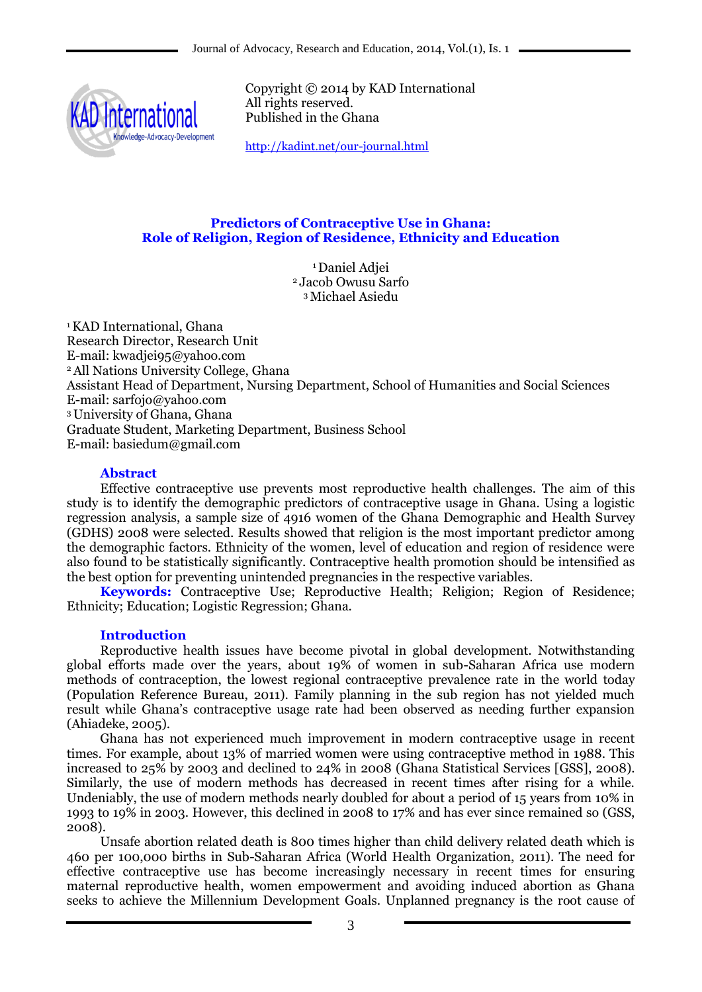

Copyright © 2014 by KAD International All rights reserved. Published in the Ghana

<http://kadint.net/our-journal.html>

## **Predictors of Contraceptive Use in Ghana: Role of Religion, Region of Residence, Ethnicity and Education**

<sup>1</sup> Daniel Adiei <sup>2</sup> Jacob Owusu Sarfo <sup>3</sup>Michael Asiedu

<sup>1</sup>KAD International, Ghana Research Director, Research Unit E-mail: kwadjei95@yahoo.com <sup>2</sup>All Nations University College, Ghana Assistant Head of Department, Nursing Department, School of Humanities and Social Sciences E-mail: sarfojo@yahoo.com <sup>3</sup>University of Ghana, Ghana Graduate Student, Marketing Department, Business School E-mail: basiedum@gmail.com

## **Abstract**

Effective contraceptive use prevents most reproductive health challenges. The aim of this study is to identify the demographic predictors of contraceptive usage in Ghana. Using a logistic regression analysis, a sample size of 4916 women of the Ghana Demographic and Health Survey (GDHS) 2008 were selected. Results showed that religion is the most important predictor among the demographic factors. Ethnicity of the women, level of education and region of residence were also found to be statistically significantly. Contraceptive health promotion should be intensified as the best option for preventing unintended pregnancies in the respective variables.

**Keywords:** Contraceptive Use; Reproductive Health; Religion; Region of Residence; Ethnicity; Education; Logistic Regression; Ghana.

### **Introduction**

Reproductive health issues have become pivotal in global development. Notwithstanding global efforts made over the years, about 19% of women in sub-Saharan Africa use modern methods of contraception, the lowest regional contraceptive prevalence rate in the world today (Population Reference Bureau, 2011). Family planning in the sub region has not yielded much result while Ghana's contraceptive usage rate had been observed as needing further expansion (Ahiadeke, 2005).

Ghana has not experienced much improvement in modern contraceptive usage in recent times. For example, about 13% of married women were using contraceptive method in 1988. This increased to 25% by 2003 and declined to 24% in 2008 (Ghana Statistical Services [GSS], 2008). Similarly, the use of modern methods has decreased in recent times after rising for a while. Undeniably, the use of modern methods nearly doubled for about a period of 15 years from 10% in 1993 to 19% in 2003. However, this declined in 2008 to 17% and has ever since remained so (GSS, 2008).

Unsafe abortion related death is 800 times higher than child delivery related death which is 460 per 100,000 births in Sub-Saharan Africa (World Health Organization, 2011). The need for effective contraceptive use has become increasingly necessary in recent times for ensuring maternal reproductive health, women empowerment and avoiding induced abortion as Ghana seeks to achieve the Millennium Development Goals. Unplanned pregnancy is the root cause of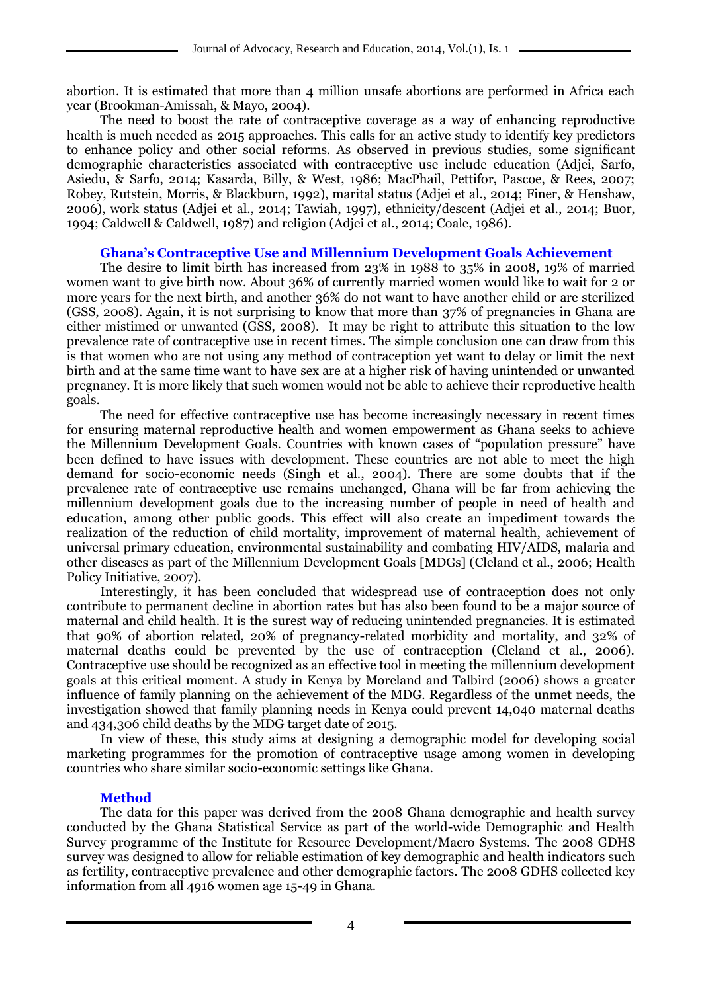abortion. It is estimated that more than 4 million unsafe abortions are performed in Africa each year (Brookman-Amissah, & Mayo, 2004).

The need to boost the rate of contraceptive coverage as a way of enhancing reproductive health is much needed as 2015 approaches. This calls for an active study to identify key predictors to enhance policy and other social reforms. As observed in previous studies, some significant demographic characteristics associated with contraceptive use include education (Adjei, Sarfo, Asiedu, & Sarfo, 2014; Kasarda, Billy, & West, 1986; MacPhail, Pettifor, Pascoe, & Rees, 2007; Robey, Rutstein, Morris, & Blackburn, 1992), marital status (Adjei et al., 2014; Finer, & Henshaw, 2006), work status (Adjei et al., 2014; Tawiah, 1997), ethnicity/descent (Adjei et al., 2014; Buor, 1994; Caldwell & Caldwell, 1987) and religion (Adjei et al., 2014; Coale, 1986).

### **Ghana's Contraceptive Use and Millennium Development Goals Achievement**

The desire to limit birth has increased from 23% in 1988 to 35% in 2008, 19% of married women want to give birth now. About 36% of currently married women would like to wait for 2 or more years for the next birth, and another 36% do not want to have another child or are sterilized (GSS, 2008). Again, it is not surprising to know that more than 37% of pregnancies in Ghana are either mistimed or unwanted (GSS, 2008). It may be right to attribute this situation to the low prevalence rate of contraceptive use in recent times. The simple conclusion one can draw from this is that women who are not using any method of contraception yet want to delay or limit the next birth and at the same time want to have sex are at a higher risk of having unintended or unwanted pregnancy. It is more likely that such women would not be able to achieve their reproductive health goals.

The need for effective contraceptive use has become increasingly necessary in recent times for ensuring maternal reproductive health and women empowerment as Ghana seeks to achieve the Millennium Development Goals. Countries with known cases of "population pressure" have been defined to have issues with development. These countries are not able to meet the high demand for socio-economic needs (Singh et al., 2004). There are some doubts that if the prevalence rate of contraceptive use remains unchanged, Ghana will be far from achieving the millennium development goals due to the increasing number of people in need of health and education, among other public goods. This effect will also create an impediment towards the realization of the reduction of child mortality, improvement of maternal health, achievement of universal primary education, environmental sustainability and combating HIV/AIDS, malaria and other diseases as part of the Millennium Development Goals [MDGs] (Cleland et al., 2006; Health Policy Initiative, 2007).

Interestingly, it has been concluded that widespread use of contraception does not only contribute to permanent decline in abortion rates but has also been found to be a major source of maternal and child health. It is the surest way of reducing unintended pregnancies. It is estimated that 90% of abortion related, 20% of pregnancy-related morbidity and mortality, and 32% of maternal deaths could be prevented by the use of contraception (Cleland et al., 2006). Contraceptive use should be recognized as an effective tool in meeting the millennium development goals at this critical moment. A study in Kenya by Moreland and Talbird (2006) shows a greater influence of family planning on the achievement of the MDG. Regardless of the unmet needs, the investigation showed that family planning needs in Kenya could prevent 14,040 maternal deaths and 434,306 child deaths by the MDG target date of 2015.

In view of these, this study aims at designing a demographic model for developing social marketing programmes for the promotion of contraceptive usage among women in developing countries who share similar socio-economic settings like Ghana.

### **Method**

The data for this paper was derived from the 2008 Ghana demographic and health survey conducted by the Ghana Statistical Service as part of the world-wide Demographic and Health Survey programme of the Institute for Resource Development/Macro Systems. The 2008 GDHS survey was designed to allow for reliable estimation of key demographic and health indicators such as fertility, contraceptive prevalence and other demographic factors. The 2008 GDHS collected key information from all 4916 women age 15-49 in Ghana.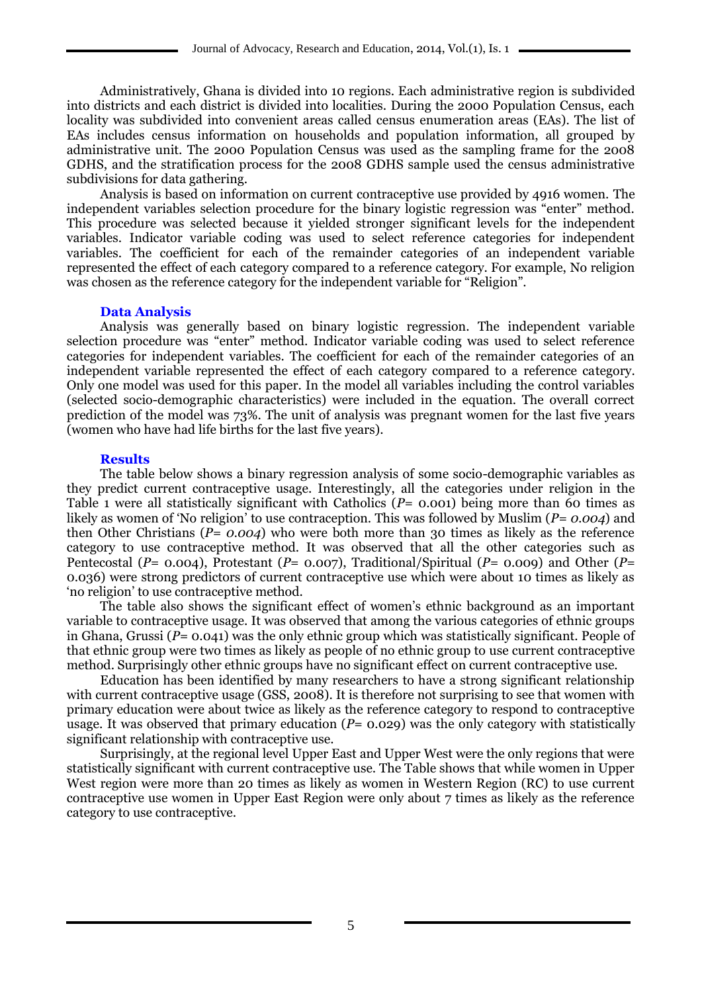Administratively, Ghana is divided into 10 regions. Each administrative region is subdivided into districts and each district is divided into localities. During the 2000 Population Census, each locality was subdivided into convenient areas called census enumeration areas (EAs). The list of EAs includes census information on households and population information, all grouped by administrative unit. The 2000 Population Census was used as the sampling frame for the 2008 GDHS, and the stratification process for the 2008 GDHS sample used the census administrative subdivisions for data gathering.

Analysis is based on information on current contraceptive use provided by 4916 women. The independent variables selection procedure for the binary logistic regression was "enter" method. This procedure was selected because it yielded stronger significant levels for the independent variables. Indicator variable coding was used to select reference categories for independent variables. The coefficient for each of the remainder categories of an independent variable represented the effect of each category compared to a reference category. For example, No religion was chosen as the reference category for the independent variable for "Religion".

### **Data Analysis**

Analysis was generally based on binary logistic regression. The independent variable selection procedure was "enter" method. Indicator variable coding was used to select reference categories for independent variables. The coefficient for each of the remainder categories of an independent variable represented the effect of each category compared to a reference category. Only one model was used for this paper. In the model all variables including the control variables (selected socio-demographic characteristics) were included in the equation. The overall correct prediction of the model was 73%. The unit of analysis was pregnant women for the last five years (women who have had life births for the last five years).

### **Results**

The table below shows a binary regression analysis of some socio-demographic variables as they predict current contraceptive usage. Interestingly, all the categories under religion in the Table 1 were all statistically significant with Catholics (*P*= 0.001) being more than 60 times as likely as women of 'No religion' to use contraception. This was followed by Muslim (*P= 0.004*) and then Other Christians (*P= 0.004*) who were both more than 30 times as likely as the reference category to use contraceptive method. It was observed that all the other categories such as Pentecostal (*P*= 0.004), Protestant (*P*= 0.007), Traditional/Spiritual (*P=* 0.009) and Other (*P*= 0.036) were strong predictors of current contraceptive use which were about 10 times as likely as ‗no religion' to use contraceptive method.

The table also shows the significant effect of women's ethnic background as an important variable to contraceptive usage. It was observed that among the various categories of ethnic groups in Ghana, Grussi (*P*= 0.041) was the only ethnic group which was statistically significant. People of that ethnic group were two times as likely as people of no ethnic group to use current contraceptive method. Surprisingly other ethnic groups have no significant effect on current contraceptive use.

Education has been identified by many researchers to have a strong significant relationship with current contraceptive usage (GSS, 2008). It is therefore not surprising to see that women with primary education were about twice as likely as the reference category to respond to contraceptive usage. It was observed that primary education (*P*= 0.029) was the only category with statistically significant relationship with contraceptive use.

Surprisingly, at the regional level Upper East and Upper West were the only regions that were statistically significant with current contraceptive use. The Table shows that while women in Upper West region were more than 20 times as likely as women in Western Region (RC) to use current contraceptive use women in Upper East Region were only about 7 times as likely as the reference category to use contraceptive.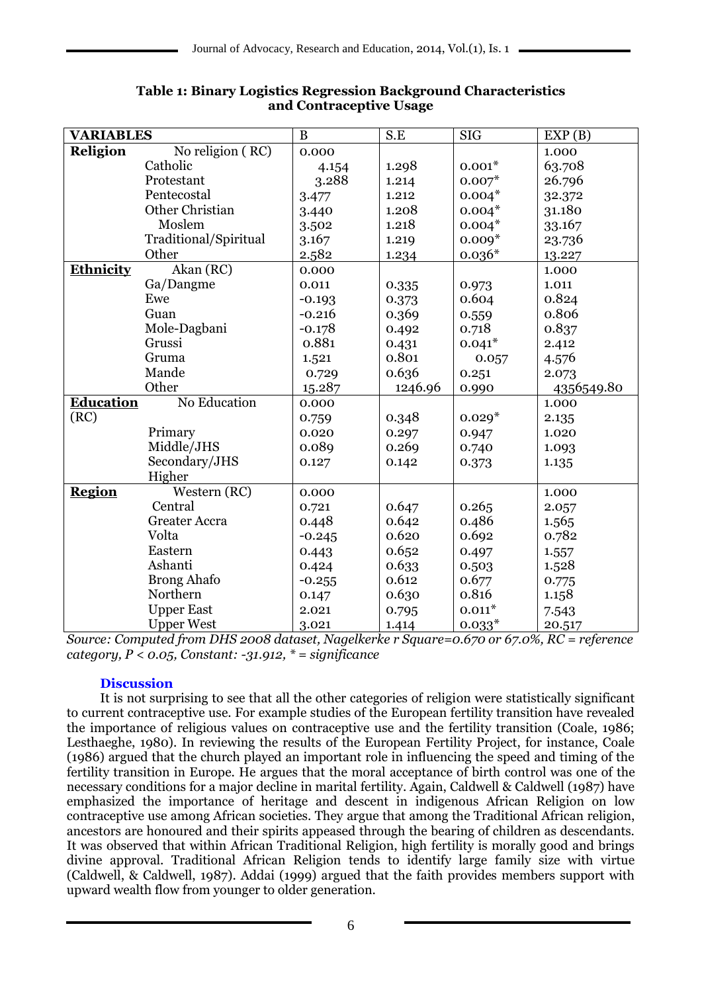| <b>VARIABLES</b> |                       | B        | S.E     | <b>SIG</b> | EXP(B)     |
|------------------|-----------------------|----------|---------|------------|------------|
| Religion         | No religion (RC)      | 0.000    |         |            | 1.000      |
|                  | Catholic              | 4.154    | 1.298   | $0.001*$   | 63.708     |
|                  | Protestant            | 3.288    | 1.214   | $0.007*$   | 26.796     |
|                  | Pentecostal           | 3.477    | 1.212   | $0.004*$   | 32.372     |
|                  | Other Christian       | 3.440    | 1.208   | $0.004*$   | 31.180     |
|                  | Moslem                | 3.502    | 1.218   | $0.004*$   | 33.167     |
|                  | Traditional/Spiritual | 3.167    | 1.219   | $0.009*$   | 23.736     |
|                  | Other                 | 2.582    | 1.234   | $0.036*$   | 13.227     |
| Ethnicity        | Akan (RC)             | 0.000    |         |            | 1.000      |
|                  | Ga/Dangme             | 0.011    | 0.335   | 0.973      | 1.011      |
|                  | Ewe                   | $-0.193$ | 0.373   | 0.604      | 0.824      |
|                  | Guan                  | $-0.216$ | 0.369   | 0.559      | 0.806      |
|                  | Mole-Dagbani          | $-0.178$ | 0.492   | 0.718      | 0.837      |
|                  | Grussi                | 0.881    | 0.431   | $0.041*$   | 2.412      |
|                  | Gruma                 | 1.521    | 0.801   | 0.057      | 4.576      |
|                  | Mande                 | 0.729    | 0.636   | 0.251      | 2.073      |
|                  | Other                 | 15.287   | 1246.96 | 0.990      | 4356549.80 |
| <b>Education</b> | No Education          | 0.000    |         |            | 1.000      |
| (RC)             |                       | 0.759    | 0.348   | $0.029*$   | 2.135      |
|                  | Primary               | 0.020    | 0.297   | 0.947      | 1.020      |
|                  | Middle/JHS            | 0.089    | 0.269   | 0.740      | 1.093      |
|                  | Secondary/JHS         | 0.127    | 0.142   | 0.373      | 1.135      |
|                  | Higher                |          |         |            |            |
| <b>Region</b>    | Western (RC)          | 0.000    |         |            | 1.000      |
|                  | Central               | 0.721    | 0.647   | 0.265      | 2.057      |
|                  | <b>Greater Accra</b>  | 0.448    | 0.642   | 0.486      | 1.565      |
|                  | Volta                 | $-0.245$ | 0.620   | 0.692      | 0.782      |
|                  | Eastern               | 0.443    | 0.652   | 0.497      | 1.557      |
|                  | Ashanti               | 0.424    | 0.633   | 0.503      | 1.528      |
|                  | <b>Brong Ahafo</b>    | $-0.255$ | 0.612   | 0.677      | 0.775      |
|                  | Northern              | 0.147    | 0.630   | 0.816      | 1.158      |
|                  | <b>Upper East</b>     | 2.021    | 0.795   | $0.011*$   | 7.543      |
|                  | <b>Upper West</b>     | 3.021    | 1.414   | $0.033*$   | 20.517     |

# **Table 1: Binary Logistics Regression Background Characteristics and Contraceptive Usage**

*Source: Computed from DHS 2008 dataset, Nagelkerke r Square=0.670 or 67.0%, RC = reference category, P < 0.05, Constant: -31.912, \* = significance*

## **Discussion**

It is not surprising to see that all the other categories of religion were statistically significant to current contraceptive use. For example studies of the European fertility transition have revealed the importance of religious values on contraceptive use and the fertility transition (Coale, 1986; Lesthaeghe, 1980). In reviewing the results of the European Fertility Project, for instance, Coale (1986) argued that the church played an important role in influencing the speed and timing of the fertility transition in Europe. He argues that the moral acceptance of birth control was one of the necessary conditions for a major decline in marital fertility. Again, Caldwell & Caldwell (1987) have emphasized the importance of heritage and descent in indigenous African Religion on low contraceptive use among African societies. They argue that among the Traditional African religion, ancestors are honoured and their spirits appeased through the bearing of children as descendants. It was observed that within African Traditional Religion, high fertility is morally good and brings divine approval. Traditional African Religion tends to identify large family size with virtue (Caldwell, & Caldwell, 1987). Addai (1999) argued that the faith provides members support with upward wealth flow from younger to older generation.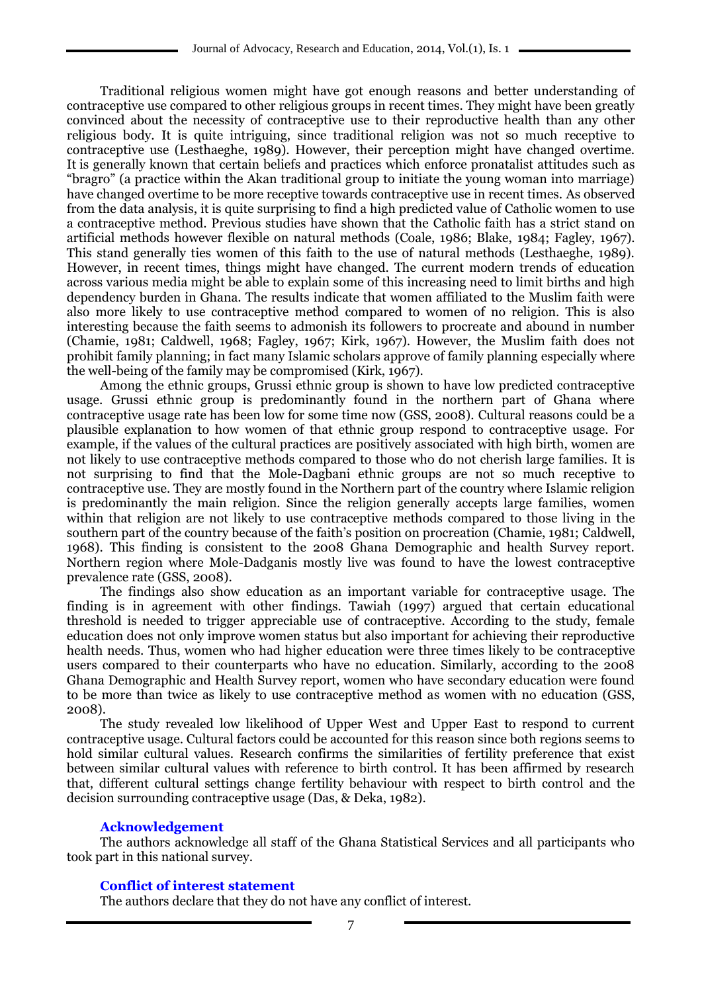Traditional religious women might have got enough reasons and better understanding of contraceptive use compared to other religious groups in recent times. They might have been greatly convinced about the necessity of contraceptive use to their reproductive health than any other religious body. It is quite intriguing, since traditional religion was not so much receptive to contraceptive use (Lesthaeghe, 1989). However, their perception might have changed overtime. It is generally known that certain beliefs and practices which enforce pronatalist attitudes such as ―bragro‖ (a practice within the Akan traditional group to initiate the young woman into marriage) have changed overtime to be more receptive towards contraceptive use in recent times. As observed from the data analysis, it is quite surprising to find a high predicted value of Catholic women to use a contraceptive method. Previous studies have shown that the Catholic faith has a strict stand on artificial methods however flexible on natural methods (Coale, 1986; Blake, 1984; Fagley, 1967). This stand generally ties women of this faith to the use of natural methods (Lesthaeghe, 1989). However, in recent times, things might have changed. The current modern trends of education across various media might be able to explain some of this increasing need to limit births and high dependency burden in Ghana. The results indicate that women affiliated to the Muslim faith were also more likely to use contraceptive method compared to women of no religion. This is also interesting because the faith seems to admonish its followers to procreate and abound in number (Chamie, 1981; Caldwell, 1968; Fagley, 1967; Kirk, 1967). However, the Muslim faith does not prohibit family planning; in fact many Islamic scholars approve of family planning especially where the well-being of the family may be compromised (Kirk, 1967).

Among the ethnic groups, Grussi ethnic group is shown to have low predicted contraceptive usage. Grussi ethnic group is predominantly found in the northern part of Ghana where contraceptive usage rate has been low for some time now (GSS, 2008). Cultural reasons could be a plausible explanation to how women of that ethnic group respond to contraceptive usage. For example, if the values of the cultural practices are positively associated with high birth, women are not likely to use contraceptive methods compared to those who do not cherish large families. It is not surprising to find that the Mole-Dagbani ethnic groups are not so much receptive to contraceptive use. They are mostly found in the Northern part of the country where Islamic religion is predominantly the main religion. Since the religion generally accepts large families, women within that religion are not likely to use contraceptive methods compared to those living in the southern part of the country because of the faith's position on procreation (Chamie, 1981; Caldwell, 1968). This finding is consistent to the 2008 Ghana Demographic and health Survey report. Northern region where Mole-Dadganis mostly live was found to have the lowest contraceptive prevalence rate (GSS, 2008).

The findings also show education as an important variable for contraceptive usage. The finding is in agreement with other findings. Tawiah (1997) argued that certain educational threshold is needed to trigger appreciable use of contraceptive. According to the study, female education does not only improve women status but also important for achieving their reproductive health needs. Thus, women who had higher education were three times likely to be contraceptive users compared to their counterparts who have no education. Similarly, according to the 2008 Ghana Demographic and Health Survey report, women who have secondary education were found to be more than twice as likely to use contraceptive method as women with no education (GSS, 2008).

The study revealed low likelihood of Upper West and Upper East to respond to current contraceptive usage. Cultural factors could be accounted for this reason since both regions seems to hold similar cultural values. Research confirms the similarities of fertility preference that exist between similar cultural values with reference to birth control. It has been affirmed by research that, different cultural settings change fertility behaviour with respect to birth control and the decision surrounding contraceptive usage (Das, & Deka, 1982).

#### **Acknowledgement**

The authors acknowledge all staff of the Ghana Statistical Services and all participants who took part in this national survey.

### **Conflict of interest statement**

The authors declare that they do not have any conflict of interest.